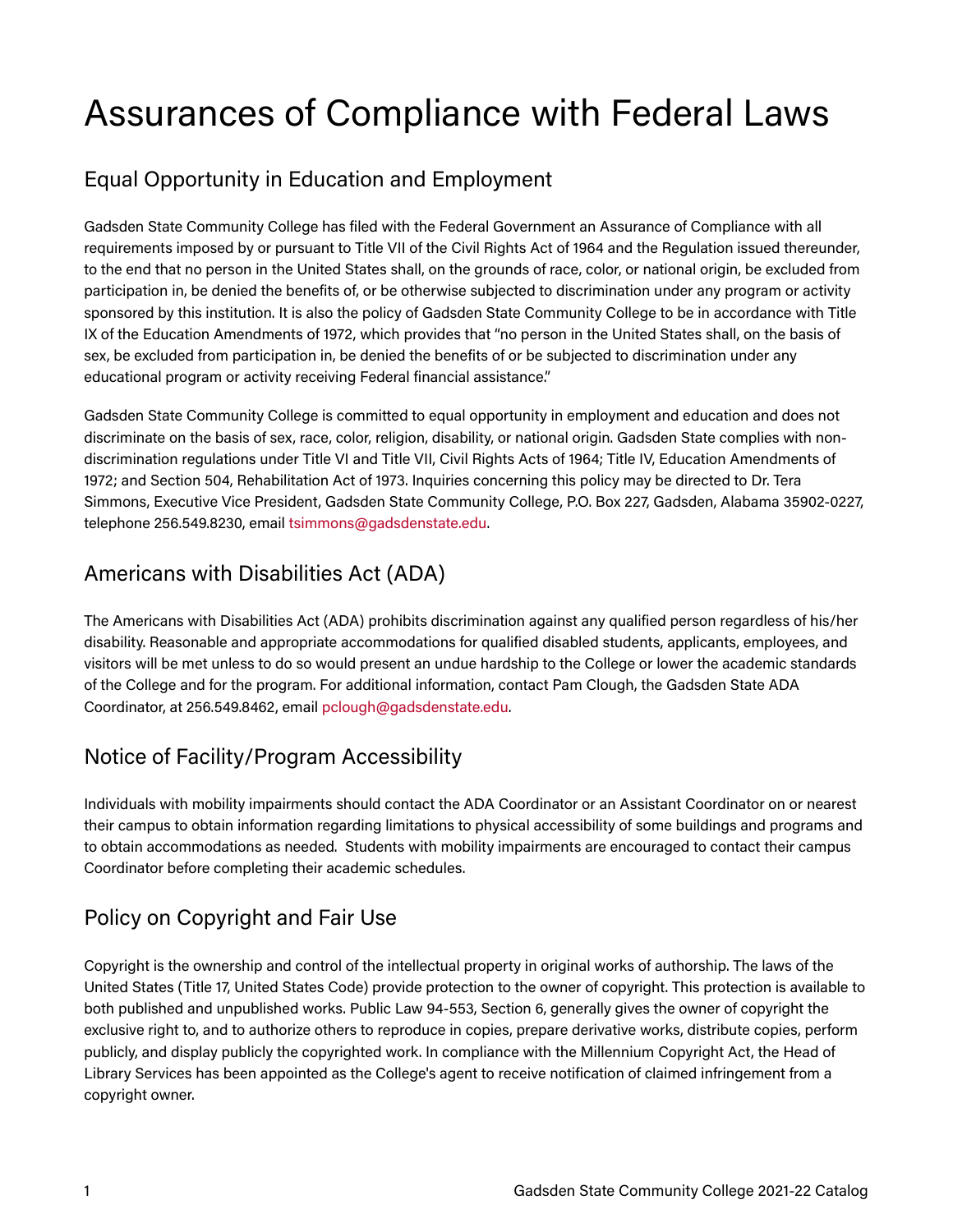# Assurances of Compliance with Federal Laws

# Equal Opportunity in Education and Employment

Gadsden State Community College has filed with the Federal Government an Assurance of Compliance with all requirements imposed by or pursuant to Title VII of the Civil Rights Act of 1964 and the Regulation issued thereunder, to the end that no person in the United States shall, on the grounds of race, color, or national origin, be excluded from participation in, be denied the benefits of, or be otherwise subjected to discrimination under any program or activity sponsored by this institution. It is also the policy of Gadsden State Community College to be in accordance with Title IX of the Education Amendments of 1972, which provides that "no person in the United States shall, on the basis of sex, be excluded from participation in, be denied the benefits of or be subjected to discrimination under any educational program or activity receiving Federal financial assistance."

Gadsden State Community College is committed to equal opportunity in employment and education and does not discriminate on the basis of sex, race, color, religion, disability, or national origin. Gadsden State complies with nondiscrimination regulations under Title VI and Title VII, Civil Rights Acts of 1964; Title IV, Education Amendments of 1972; and Section 504, Rehabilitation Act of 1973. Inquiries concerning this policy may be directed to Dr. Tera Simmons, Executive Vice President, Gadsden State Community College, P.O. Box 227, Gadsden, Alabama 35902-0227, telephone 256.549.8230, email [tsimmons@gadsdenstate.edu.](mailto:tsimmons@gadsdenstate.edu)

# Americans with Disabilities Act (ADA)

The Americans with Disabilities Act (ADA) prohibits discrimination against any qualified person regardless of his/her disability. Reasonable and appropriate accommodations for qualified disabled students, applicants, employees, and visitors will be met unless to do so would present an undue hardship to the College or lower the academic standards of the College and for the program. For additional information, contact Pam Clough, the Gadsden State ADA Coordinator, at 256.549.8462, email [pclough@gadsdenstate.edu.](mailto:pclough@gadsdenstate.edu)

# Notice of Facility/Program Accessibility

Individuals with mobility impairments should contact the ADA Coordinator or an Assistant Coordinator on or nearest their campus to obtain information regarding limitations to physical accessibility of some buildings and programs and to obtain accommodations as needed. Students with mobility impairments are encouraged to contact their campus Coordinator before completing their academic schedules.

# Policy on Copyright and Fair Use

Copyright is the ownership and control of the intellectual property in original works of authorship. The laws of the United States (Title 17, United States Code) provide protection to the owner of copyright. This protection is available to both published and unpublished works. Public Law 94-553, Section 6, generally gives the owner of copyright the exclusive right to, and to authorize others to reproduce in copies, prepare derivative works, distribute copies, perform publicly, and display publicly the copyrighted work. In compliance with the Millennium Copyright Act, the Head of Library Services has been appointed as the College's agent to receive notification of claimed infringement from a copyright owner.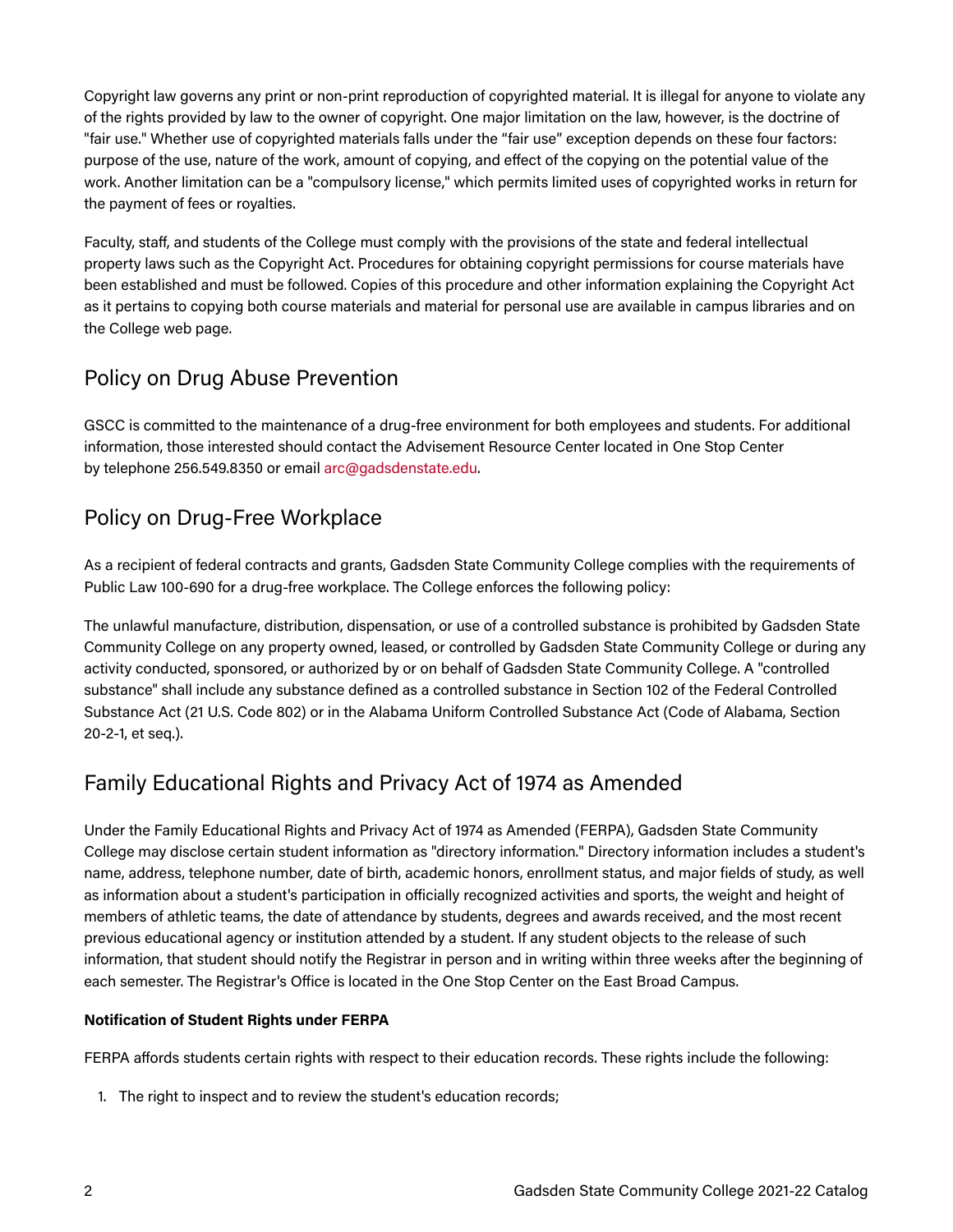Copyright law governs any print or non-print reproduction of copyrighted material. It is illegal for anyone to violate any of the rights provided by law to the owner of copyright. One major limitation on the law, however, is the doctrine of "fair use." Whether use of copyrighted materials falls under the "fair use" exception depends on these four factors: purpose of the use, nature of the work, amount of copying, and effect of the copying on the potential value of the work. Another limitation can be a "compulsory license," which permits limited uses of copyrighted works in return for the payment of fees or royalties.

Faculty, staff, and students of the College must comply with the provisions of the state and federal intellectual property laws such as the Copyright Act. Procedures for obtaining copyright permissions for course materials have been established and must be followed. Copies of this procedure and other information explaining the Copyright Act as it pertains to copying both course materials and material for personal use are available in campus libraries and on the College web page.

# Policy on Drug Abuse Prevention

GSCC is committed to the maintenance of a drug-free environment for both employees and students. For additional information, those interested should contact the Advisement Resource Center located in One Stop Center by telephone 256.549.8350 or email [arc@gadsdenstate.edu.](mailto:arc@gadsdenstate.edu)

### Policy on Drug-Free Workplace

As a recipient of federal contracts and grants, Gadsden State Community College complies with the requirements of Public Law 100-690 for a drug-free workplace. The College enforces the following policy:

The unlawful manufacture, distribution, dispensation, or use of a controlled substance is prohibited by Gadsden State Community College on any property owned, leased, or controlled by Gadsden State Community College or during any activity conducted, sponsored, or authorized by or on behalf of Gadsden State Community College. A "controlled substance" shall include any substance defined as a controlled substance in Section 102 of the Federal Controlled Substance Act (21 U.S. Code 802) or in the Alabama Uniform Controlled Substance Act (Code of Alabama, Section 20-2-1, et seq.).

## Family Educational Rights and Privacy Act of 1974 as Amended

Under the Family Educational Rights and Privacy Act of 1974 as Amended (FERPA), Gadsden State Community College may disclose certain student information as "directory information." Directory information includes a student's name, address, telephone number, date of birth, academic honors, enrollment status, and major fields of study, as well as information about a student's participation in officially recognized activities and sports, the weight and height of members of athletic teams, the date of attendance by students, degrees and awards received, and the most recent previous educational agency or institution attended by a student. If any student objects to the release of such information, that student should notify the Registrar in person and in writing within three weeks after the beginning of each semester. The Registrar's Office is located in the One Stop Center on the East Broad Campus.

#### **Notification of Student Rights under FERPA**

FERPA affords students certain rights with respect to their education records. These rights include the following:

1. The right to inspect and to review the student's education records;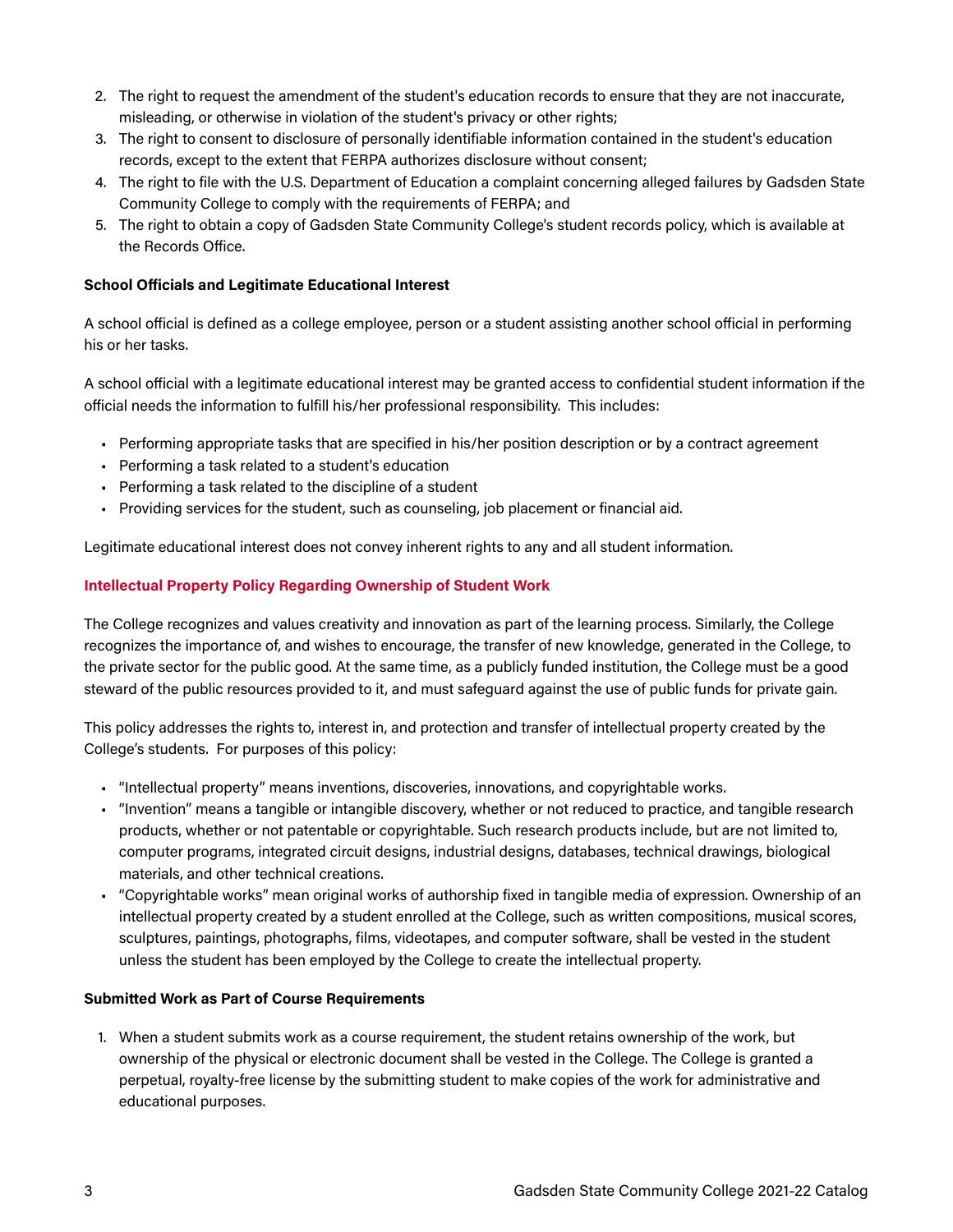- 2. The right to request the amendment of the student's education records to ensure that they are not inaccurate, misleading, or otherwise in violation of the student's privacy or other rights;
- 3. The right to consent to disclosure of personally identifiable information contained in the student's education records, except to the extent that FERPA authorizes disclosure without consent;
- 4. The right to file with the U.S. Department of Education a complaint concerning alleged failures by Gadsden State Community College to comply with the requirements of FERPA; and
- 5. The right to obtain a copy of Gadsden State Community College's student records policy, which is available at the Records Office.

#### **School Officials and Legitimate Educational Interest**

A school official is defined as a college employee, person or a student assisting another school official in performing his or her tasks.

A school official with a legitimate educational interest may be granted access to confidential student information if the official needs the information to fulfill his/her professional responsibility. This includes:

- Performing appropriate tasks that are specified in his/her position description or by a contract agreement
- Performing a task related to a student's education
- Performing a task related to the discipline of a student
- Providing services for the student, such as counseling, job placement or financial aid.

Legitimate educational interest does not convey inherent rights to any and all student information.

#### **Intellectual Property Policy Regarding Ownership of Student Work**

The College recognizes and values creativity and innovation as part of the learning process. Similarly, the College recognizes the importance of, and wishes to encourage, the transfer of new knowledge, generated in the College, to the private sector for the public good. At the same time, as a publicly funded institution, the College must be a good steward of the public resources provided to it, and must safeguard against the use of public funds for private gain.

This policy addresses the rights to, interest in, and protection and transfer of intellectual property created by the College's students. For purposes of this policy:

- "Intellectual property" means inventions, discoveries, innovations, and copyrightable works.
- "Invention" means a tangible or intangible discovery, whether or not reduced to practice, and tangible research products, whether or not patentable or copyrightable. Such research products include, but are not limited to, computer programs, integrated circuit designs, industrial designs, databases, technical drawings, biological materials, and other technical creations.
- "Copyrightable works" mean original works of authorship fixed in tangible media of expression. Ownership of an intellectual property created by a student enrolled at the College, such as written compositions, musical scores, sculptures, paintings, photographs, films, videotapes, and computer software, shall be vested in the student unless the student has been employed by the College to create the intellectual property.

#### **Submitted Work as Part of Course Requirements**

1. When a student submits work as a course requirement, the student retains ownership of the work, but ownership of the physical or electronic document shall be vested in the College. The College is granted a perpetual, royalty-free license by the submitting student to make copies of the work for administrative and educational purposes.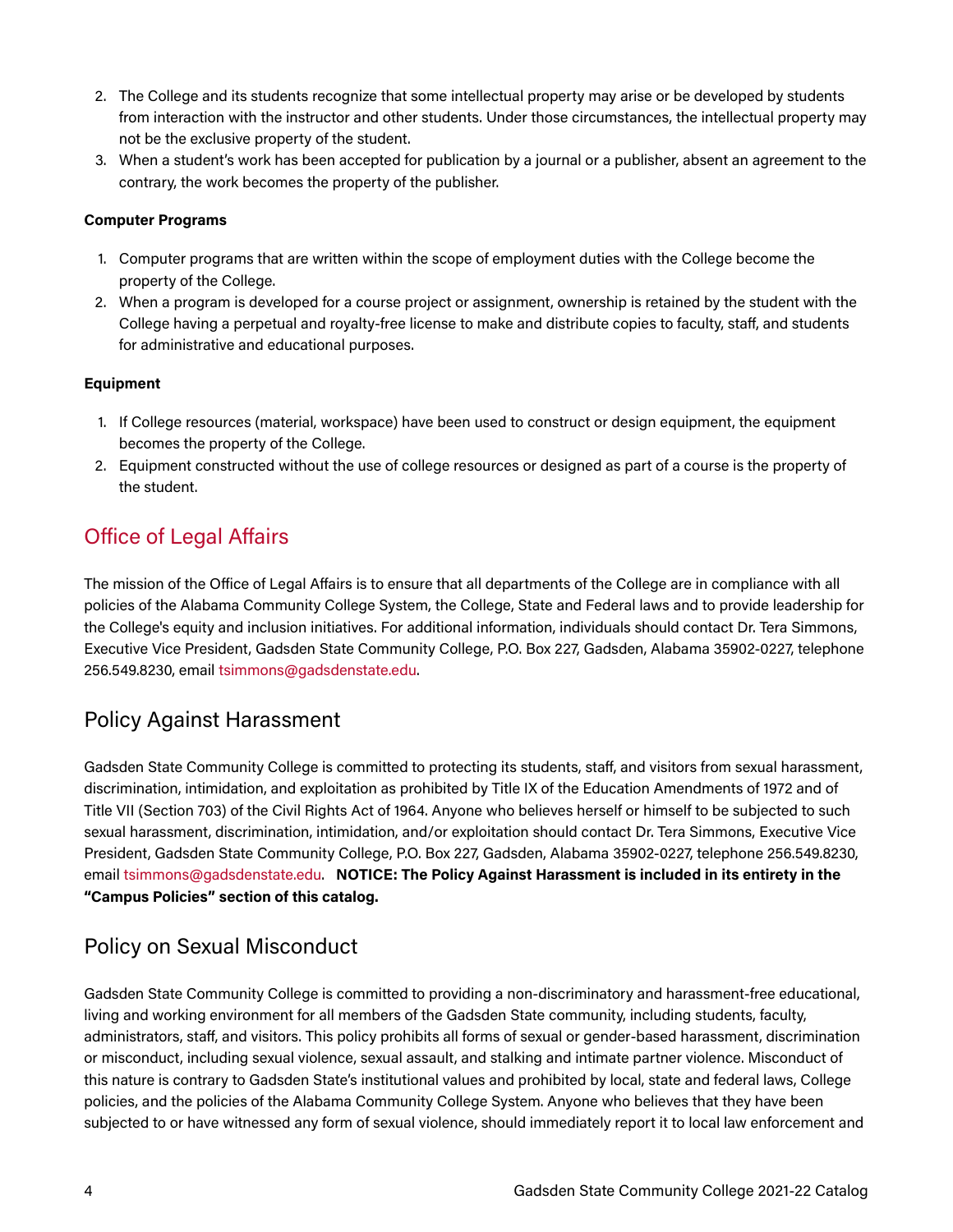- 2. The College and its students recognize that some intellectual property may arise or be developed by students from interaction with the instructor and other students. Under those circumstances, the intellectual property may not be the exclusive property of the student.
- 3. When a student's work has been accepted for publication by a journal or a publisher, absent an agreement to the contrary, the work becomes the property of the publisher.

#### **Computer Programs**

- 1. Computer programs that are written within the scope of employment duties with the College become the property of the College.
- 2. When a program is developed for a course project or assignment, ownership is retained by the student with the College having a perpetual and royalty-free license to make and distribute copies to faculty, staff, and students for administrative and educational purposes.

#### **Equipment**

- 1. If College resources (material, workspace) have been used to construct or design equipment, the equipment becomes the property of the College.
- 2. Equipment constructed without the use of college resources or designed as part of a course is the property of the student.

### Office of Legal Affairs

The mission of the Office of Legal Affairs is to ensure that all departments of the College are in compliance with all policies of the Alabama Community College System, the College, State and Federal laws and to provide leadership for the College's equity and inclusion initiatives. For additional information, individuals should contact Dr. Tera Simmons, Executive Vice President, Gadsden State Community College, P.O. Box 227, Gadsden, Alabama 35902-0227, telephone 256.549.8230, email [tsimmons@gadsdenstate.edu.](mailto:tsimmons@gadsdenstate.edu)

### Policy Against Harassment

Gadsden State Community College is committed to protecting its students, staff, and visitors from sexual harassment, discrimination, intimidation, and exploitation as prohibited by Title IX of the Education Amendments of 1972 and of Title VII (Section 703) of the Civil Rights Act of 1964. Anyone who believes herself or himself to be subjected to such sexual harassment, discrimination, intimidation, and/or exploitation should contact Dr. Tera Simmons, Executive Vice President, Gadsden State Community College, P.O. Box 227, Gadsden, Alabama 35902-0227, telephone 256.549.8230, email [tsimmons@gadsdenstate.edu.](mailto:tsimmons@gadsdenstate.edu) **NOTICE: The Policy Against Harassment is included in its entirety in the "Campus Policies" section of this catalog.** 

### Policy on Sexual Misconduct

Gadsden State Community College is committed to providing a non-discriminatory and harassment-free educational, living and working environment for all members of the Gadsden State community, including students, faculty, administrators, staff, and visitors. This policy prohibits all forms of sexual or gender-based harassment, discrimination or misconduct, including sexual violence, sexual assault, and stalking and intimate partner violence. Misconduct of this nature is contrary to Gadsden State's institutional values and prohibited by local, state and federal laws, College policies, and the policies of the Alabama Community College System. Anyone who believes that they have been subjected to or have witnessed any form of sexual violence, should immediately report it to local law enforcement and